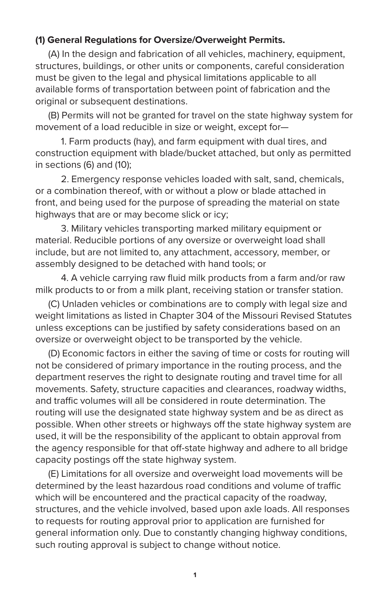## **(1) General Regulations for Oversize/Overweight Permits.**

(A) In the design and fabrication of all vehicles, machinery, equipment, structures, buildings, or other units or components, careful consideration must be given to the legal and physical limitations applicable to all available forms of transportation between point of fabrication and the original or subsequent destinations.

(B) Permits will not be granted for travel on the state highway system for movement of a load reducible in size or weight, except for—

1. Farm products (hay), and farm equipment with dual tires, and construction equipment with blade/bucket attached, but only as permitted in sections (6) and (10);

2. Emergency response vehicles loaded with salt, sand, chemicals, or a combination thereof, with or without a plow or blade attached in front, and being used for the purpose of spreading the material on state highways that are or may become slick or icy;

3. Military vehicles transporting marked military equipment or material. Reducible portions of any oversize or overweight load shall include, but are not limited to, any attachment, accessory, member, or assembly designed to be detached with hand tools; or

4. A vehicle carrying raw fluid milk products from a farm and/or raw milk products to or from a milk plant, receiving station or transfer station.

(C) Unladen vehicles or combinations are to comply with legal size and weight limitations as listed in Chapter 304 of the Missouri Revised Statutes unless exceptions can be justified by safety considerations based on an oversize or overweight object to be transported by the vehicle.

(D) Economic factors in either the saving of time or costs for routing will not be considered of primary importance in the routing process, and the department reserves the right to designate routing and travel time for all movements. Safety, structure capacities and clearances, roadway widths, and traffic volumes will all be considered in route determination. The routing will use the designated state highway system and be as direct as possible. When other streets or highways off the state highway system are used, it will be the responsibility of the applicant to obtain approval from the agency responsible for that off-state highway and adhere to all bridge capacity postings off the state highway system.

(E) Limitations for all oversize and overweight load movements will be determined by the least hazardous road conditions and volume of traffic which will be encountered and the practical capacity of the roadway, structures, and the vehicle involved, based upon axle loads. All responses to requests for routing approval prior to application are furnished for general information only. Due to constantly changing highway conditions, such routing approval is subject to change without notice.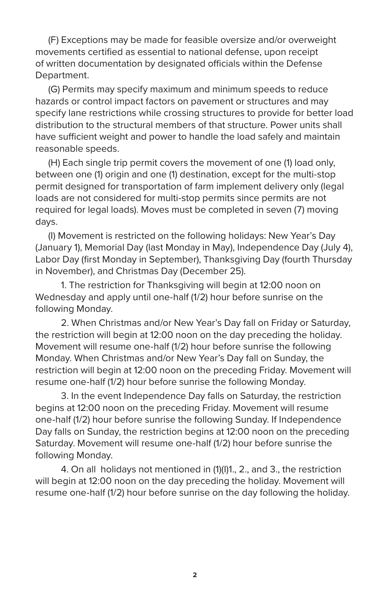(F) Exceptions may be made for feasible oversize and/or overweight movements certified as essential to national defense, upon receipt of written documentation by designated officials within the Defense Department.

(G) Permits may specify maximum and minimum speeds to reduce hazards or control impact factors on pavement or structures and may specify lane restrictions while crossing structures to provide for better load distribution to the structural members of that structure. Power units shall have sufficient weight and power to handle the load safely and maintain reasonable speeds.

(H) Each single trip permit covers the movement of one (1) load only, between one (1) origin and one (1) destination, except for the multi-stop permit designed for transportation of farm implement delivery only (legal loads are not considered for multi-stop permits since permits are not required for legal loads). Moves must be completed in seven (7) moving days.

(I) Movement is restricted on the following holidays: New Year's Day (January 1), Memorial Day (last Monday in May), Independence Day (July 4), Labor Day (first Monday in September), Thanksgiving Day (fourth Thursday in November), and Christmas Day (December 25).

1. The restriction for Thanksgiving will begin at 12:00 noon on Wednesday and apply until one-half (1/2) hour before sunrise on the following Monday.

2. When Christmas and/or New Year's Day fall on Friday or Saturday, the restriction will begin at 12:00 noon on the day preceding the holiday. Movement will resume one-half (1/2) hour before sunrise the following Monday. When Christmas and/or New Year's Day fall on Sunday, the restriction will begin at 12:00 noon on the preceding Friday. Movement will resume one-half (1/2) hour before sunrise the following Monday.

3. In the event Independence Day falls on Saturday, the restriction begins at 12:00 noon on the preceding Friday. Movement will resume one-half (1/2) hour before sunrise the following Sunday. If Independence Day falls on Sunday, the restriction begins at 12:00 noon on the preceding Saturday. Movement will resume one-half (1/2) hour before sunrise the following Monday.

4. On all holidays not mentioned in (1)(I)1., 2., and 3., the restriction will begin at 12:00 noon on the day preceding the holiday. Movement will resume one-half (1/2) hour before sunrise on the day following the holiday.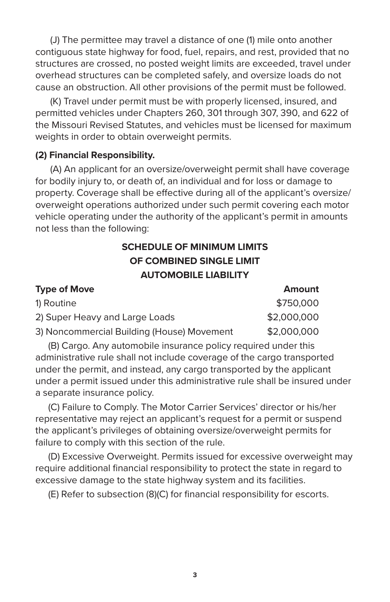(J) The permittee may travel a distance of one (1) mile onto another contiguous state highway for food, fuel, repairs, and rest, provided that no structures are crossed, no posted weight limits are exceeded, travel under overhead structures can be completed safely, and oversize loads do not cause an obstruction. All other provisions of the permit must be followed.

(K) Travel under permit must be with properly licensed, insured, and permitted vehicles under Chapters 260, 301 through 307, 390, and 622 of the Missouri Revised Statutes, and vehicles must be licensed for maximum weights in order to obtain overweight permits.

## **(2) Financial Responsibility.**

(A) An applicant for an oversize/overweight permit shall have coverage for bodily injury to, or death of, an individual and for loss or damage to property. Coverage shall be effective during all of the applicant's oversize/ overweight operations authorized under such permit covering each motor vehicle operating under the authority of the applicant's permit in amounts not less than the following:

## **SCHEDULE OF MINIMUM LIMITS OF COMBINED SINGLE LIMIT AUTOMOBILE LIABILITY**

| <b>Type of Move</b>                        | Amount      |
|--------------------------------------------|-------------|
| 1) Routine                                 | \$750,000   |
| 2) Super Heavy and Large Loads             | \$2,000,000 |
| 3) Noncommercial Building (House) Movement | \$2,000,000 |

(B) Cargo. Any automobile insurance policy required under this administrative rule shall not include coverage of the cargo transported under the permit, and instead, any cargo transported by the applicant under a permit issued under this administrative rule shall be insured under a separate insurance policy.

(C) Failure to Comply. The Motor Carrier Services' director or his/her representative may reject an applicant's request for a permit or suspend the applicant's privileges of obtaining oversize/overweight permits for failure to comply with this section of the rule.

(D) Excessive Overweight. Permits issued for excessive overweight may require additional financial responsibility to protect the state in regard to excessive damage to the state highway system and its facilities.

(E) Refer to subsection (8)(C) for financial responsibility for escorts.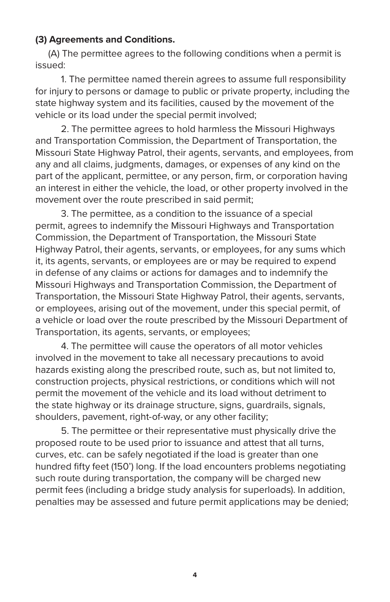## **(3) Agreements and Conditions.**

(A) The permittee agrees to the following conditions when a permit is issued:

1. The permittee named therein agrees to assume full responsibility for injury to persons or damage to public or private property, including the state highway system and its facilities, caused by the movement of the vehicle or its load under the special permit involved;

2. The permittee agrees to hold harmless the Missouri Highways and Transportation Commission, the Department of Transportation, the Missouri State Highway Patrol, their agents, servants, and employees, from any and all claims, judgments, damages, or expenses of any kind on the part of the applicant, permittee, or any person, firm, or corporation having an interest in either the vehicle, the load, or other property involved in the movement over the route prescribed in said permit;

3. The permittee, as a condition to the issuance of a special permit, agrees to indemnify the Missouri Highways and Transportation Commission, the Department of Transportation, the Missouri State Highway Patrol, their agents, servants, or employees, for any sums which it, its agents, servants, or employees are or may be required to expend in defense of any claims or actions for damages and to indemnify the Missouri Highways and Transportation Commission, the Department of Transportation, the Missouri State Highway Patrol, their agents, servants, or employees, arising out of the movement, under this special permit, of a vehicle or load over the route prescribed by the Missouri Department of Transportation, its agents, servants, or employees;

4. The permittee will cause the operators of all motor vehicles involved in the movement to take all necessary precautions to avoid hazards existing along the prescribed route, such as, but not limited to, construction projects, physical restrictions, or conditions which will not permit the movement of the vehicle and its load without detriment to the state highway or its drainage structure, signs, guardrails, signals, shoulders, pavement, right-of-way, or any other facility;

5. The permittee or their representative must physically drive the proposed route to be used prior to issuance and attest that all turns, curves, etc. can be safely negotiated if the load is greater than one hundred fifty feet (150') long. If the load encounters problems negotiating such route during transportation, the company will be charged new permit fees (including a bridge study analysis for superloads). In addition, penalties may be assessed and future permit applications may be denied;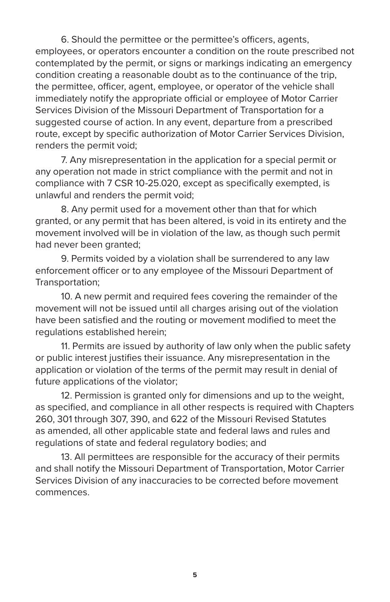6. Should the permittee or the permittee's officers, agents, employees, or operators encounter a condition on the route prescribed not contemplated by the permit, or signs or markings indicating an emergency condition creating a reasonable doubt as to the continuance of the trip, the permittee, officer, agent, employee, or operator of the vehicle shall immediately notify the appropriate official or employee of Motor Carrier Services Division of the Missouri Department of Transportation for a suggested course of action. In any event, departure from a prescribed route, except by specific authorization of Motor Carrier Services Division, renders the permit void;

7. Any misrepresentation in the application for a special permit or any operation not made in strict compliance with the permit and not in compliance with 7 CSR 10-25.020, except as specifically exempted, is unlawful and renders the permit void;

8. Any permit used for a movement other than that for which granted, or any permit that has been altered, is void in its entirety and the movement involved will be in violation of the law, as though such permit had never been granted;

9. Permits voided by a violation shall be surrendered to any law enforcement officer or to any employee of the Missouri Department of Transportation;

10. A new permit and required fees covering the remainder of the movement will not be issued until all charges arising out of the violation have been satisfied and the routing or movement modified to meet the regulations established herein;

11. Permits are issued by authority of law only when the public safety or public interest justifies their issuance. Any misrepresentation in the application or violation of the terms of the permit may result in denial of future applications of the violator;

12. Permission is granted only for dimensions and up to the weight, as specified, and compliance in all other respects is required with Chapters 260, 301 through 307, 390, and 622 of the Missouri Revised Statutes as amended, all other applicable state and federal laws and rules and regulations of state and federal regulatory bodies; and

13. All permittees are responsible for the accuracy of their permits and shall notify the Missouri Department of Transportation, Motor Carrier Services Division of any inaccuracies to be corrected before movement commences.